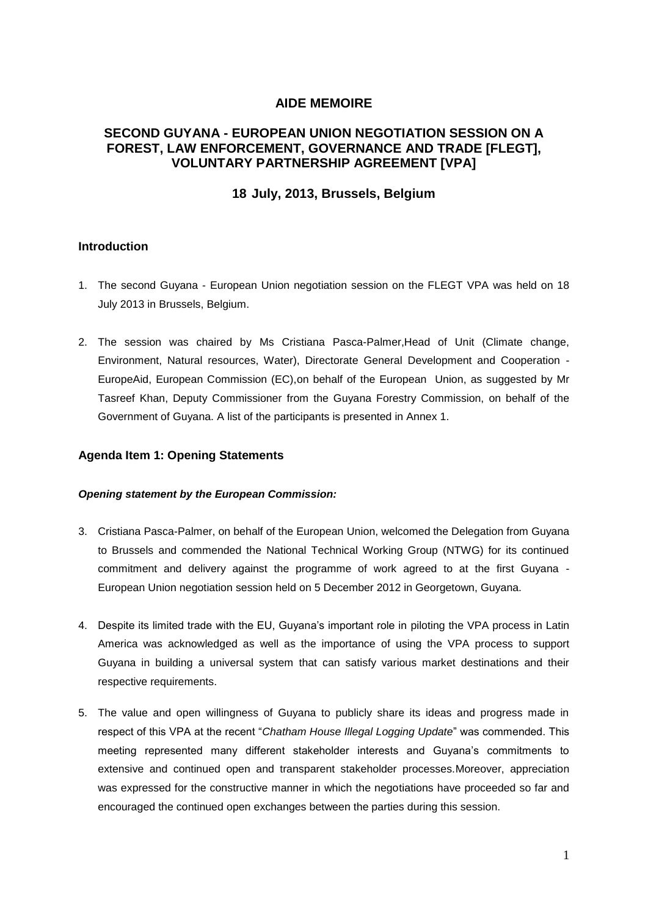## **AIDE MEMOIRE**

## **SECOND GUYANA - EUROPEAN UNION NEGOTIATION SESSION ON A FOREST, LAW ENFORCEMENT, GOVERNANCE AND TRADE [FLEGT], VOLUNTARY PARTNERSHIP AGREEMENT [VPA]**

## **18 July, 2013, Brussels, Belgium**

## **Introduction**

- 1. The second Guyana European Union negotiation session on the FLEGT VPA was held on 18 July 2013 in Brussels, Belgium.
- 2. The session was chaired by Ms Cristiana Pasca-Palmer,Head of Unit (Climate change, Environment, Natural resources, Water), Directorate General Development and Cooperation - EuropeAid, European Commission (EC),on behalf of the European Union, as suggested by Mr Tasreef Khan, Deputy Commissioner from the Guyana Forestry Commission, on behalf of the Government of Guyana. A list of the participants is presented in Annex 1.

#### **Agenda Item 1: Opening Statements**

#### *Opening statement by the European Commission:*

- 3. Cristiana Pasca-Palmer, on behalf of the European Union, welcomed the Delegation from Guyana to Brussels and commended the National Technical Working Group (NTWG) for its continued commitment and delivery against the programme of work agreed to at the first Guyana - European Union negotiation session held on 5 December 2012 in Georgetown, Guyana.
- 4. Despite its limited trade with the EU, Guyana's important role in piloting the VPA process in Latin America was acknowledged as well as the importance of using the VPA process to support Guyana in building a universal system that can satisfy various market destinations and their respective requirements.
- 5. The value and open willingness of Guyana to publicly share its ideas and progress made in respect of this VPA at the recent "*Chatham House Illegal Logging Update*" was commended. This meeting represented many different stakeholder interests and Guyana's commitments to extensive and continued open and transparent stakeholder processes.Moreover, appreciation was expressed for the constructive manner in which the negotiations have proceeded so far and encouraged the continued open exchanges between the parties during this session.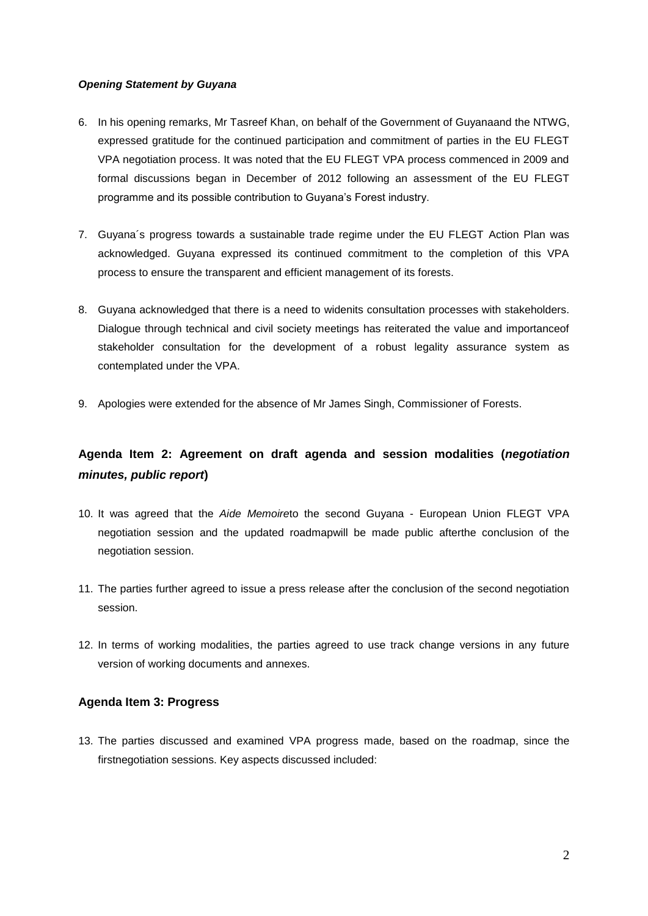## *Opening Statement by Guyana*

- 6. In his opening remarks, Mr Tasreef Khan, on behalf of the Government of Guyanaand the NTWG, expressed gratitude for the continued participation and commitment of parties in the EU FLEGT VPA negotiation process. It was noted that the EU FLEGT VPA process commenced in 2009 and formal discussions began in December of 2012 following an assessment of the EU FLEGT programme and its possible contribution to Guyana's Forest industry.
- 7. Guyana´s progress towards a sustainable trade regime under the EU FLEGT Action Plan was acknowledged. Guyana expressed its continued commitment to the completion of this VPA process to ensure the transparent and efficient management of its forests.
- 8. Guyana acknowledged that there is a need to widenits consultation processes with stakeholders. Dialogue through technical and civil society meetings has reiterated the value and importanceof stakeholder consultation for the development of a robust legality assurance system as contemplated under the VPA.
- 9. Apologies were extended for the absence of Mr James Singh, Commissioner of Forests.

# **Agenda Item 2: Agreement on draft agenda and session modalities (***negotiation minutes, public report***)**

- 10. It was agreed that the *Aide Memoire*to the second Guyana European Union FLEGT VPA negotiation session and the updated roadmapwill be made public afterthe conclusion of the negotiation session.
- 11. The parties further agreed to issue a press release after the conclusion of the second negotiation session.
- 12. In terms of working modalities, the parties agreed to use track change versions in any future version of working documents and annexes.

## **Agenda Item 3: Progress**

13. The parties discussed and examined VPA progress made, based on the roadmap, since the firstnegotiation sessions. Key aspects discussed included: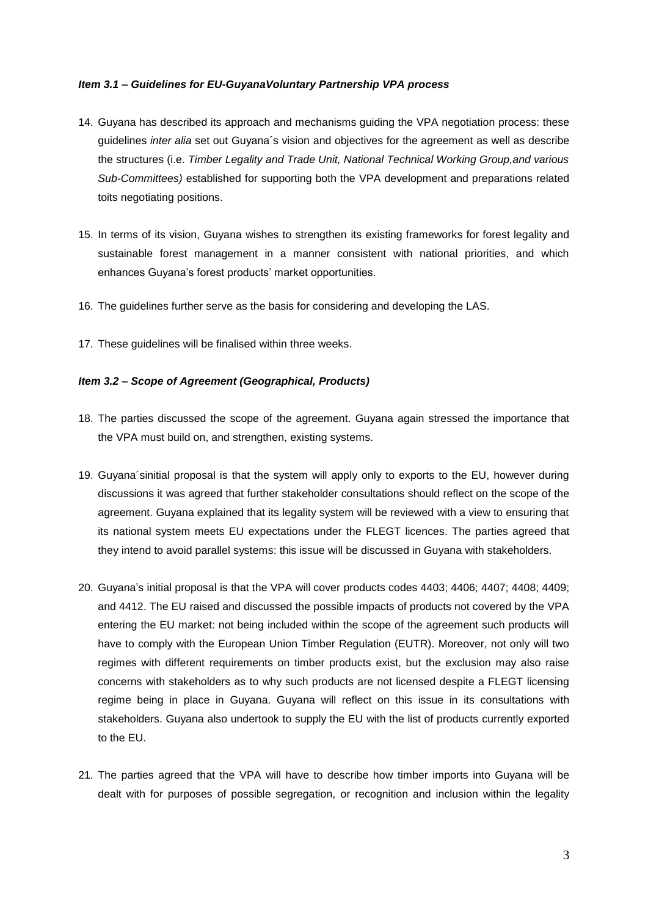#### *Item 3.1 – Guidelines for EU-GuyanaVoluntary Partnership VPA process*

- 14. Guyana has described its approach and mechanisms guiding the VPA negotiation process: these guidelines *inter alia* set out Guyana´s vision and objectives for the agreement as well as describe the structures (i.e. *Timber Legality and Trade Unit, National Technical Working Group,and various Sub-Committees)* established for supporting both the VPA development and preparations related toits negotiating positions.
- 15. In terms of its vision, Guyana wishes to strengthen its existing frameworks for forest legality and sustainable forest management in a manner consistent with national priorities, and which enhances Guyana's forest products' market opportunities.
- 16. The guidelines further serve as the basis for considering and developing the LAS.
- 17. These guidelines will be finalised within three weeks.

#### *Item 3.2 – Scope of Agreement (Geographical, Products)*

- 18. The parties discussed the scope of the agreement. Guyana again stressed the importance that the VPA must build on, and strengthen, existing systems.
- 19. Guyana´sinitial proposal is that the system will apply only to exports to the EU, however during discussions it was agreed that further stakeholder consultations should reflect on the scope of the agreement. Guyana explained that its legality system will be reviewed with a view to ensuring that its national system meets EU expectations under the FLEGT licences. The parties agreed that they intend to avoid parallel systems: this issue will be discussed in Guyana with stakeholders.
- 20. Guyana's initial proposal is that the VPA will cover products codes 4403; 4406; 4407; 4408; 4409; and 4412. The EU raised and discussed the possible impacts of products not covered by the VPA entering the EU market: not being included within the scope of the agreement such products will have to comply with the European Union Timber Regulation (EUTR). Moreover, not only will two regimes with different requirements on timber products exist, but the exclusion may also raise concerns with stakeholders as to why such products are not licensed despite a FLEGT licensing regime being in place in Guyana. Guyana will reflect on this issue in its consultations with stakeholders. Guyana also undertook to supply the EU with the list of products currently exported to the EU.
- 21. The parties agreed that the VPA will have to describe how timber imports into Guyana will be dealt with for purposes of possible segregation, or recognition and inclusion within the legality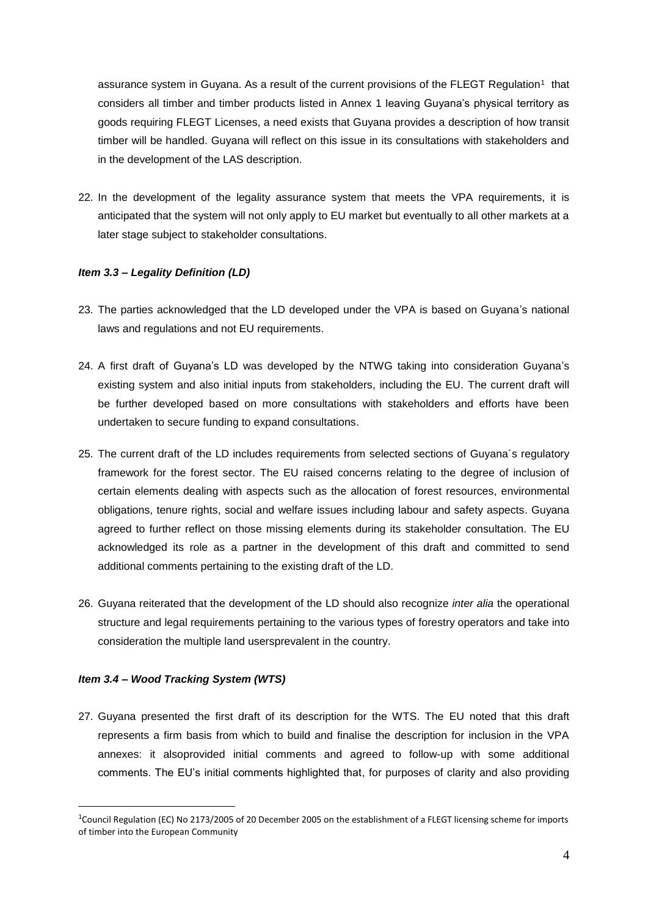assurance system in Guyana. As a result of the current provisions of the FLEGT Regulation<sup>1</sup> that considers all timber and timber products listed in Annex 1 leaving Guyana's physical territory as goods requiring FLEGT Licenses, a need exists that Guyana provides a description of how transit timber will be handled. Guyana will reflect on this issue in its consultations with stakeholders and in the development of the LAS description.

22. In the development of the legality assurance system that meets the VPA requirements, it is anticipated that the system will not only apply to EU market but eventually to all other markets at a later stage subject to stakeholder consultations.

#### *Item 3.3 – Legality Definition (LD)*

- 23. The parties acknowledged that the LD developed under the VPA is based on Guyana's national laws and regulations and not EU requirements.
- 24. A first draft of Guyana's LD was developed by the NTWG taking into consideration Guyana's existing system and also initial inputs from stakeholders, including the EU. The current draft will be further developed based on more consultations with stakeholders and efforts have been undertaken to secure funding to expand consultations.
- 25. The current draft of the LD includes requirements from selected sections of Guyana´s regulatory framework for the forest sector. The EU raised concerns relating to the degree of inclusion of certain elements dealing with aspects such as the allocation of forest resources, environmental obligations, tenure rights, social and welfare issues including labour and safety aspects. Guyana agreed to further reflect on those missing elements during its stakeholder consultation. The EU acknowledged its role as a partner in the development of this draft and committed to send additional comments pertaining to the existing draft of the LD.
- 26. Guyana reiterated that the development of the LD should also recognize *inter alia* the operational structure and legal requirements pertaining to the various types of forestry operators and take into consideration the multiple land usersprevalent in the country.

#### *Item 3.4 – Wood Tracking System (WTS)*

1

27. Guyana presented the first draft of its description for the WTS. The EU noted that this draft represents a firm basis from which to build and finalise the description for inclusion in the VPA annexes: it alsoprovided initial comments and agreed to follow-up with some additional comments. The EU's initial comments highlighted that, for purposes of clarity and also providing

<sup>&</sup>lt;sup>1</sup>Council Regulation (EC) No 2173/2005 of 20 December 2005 on the establishment of a FLEGT licensing scheme for imports of timber into the European Community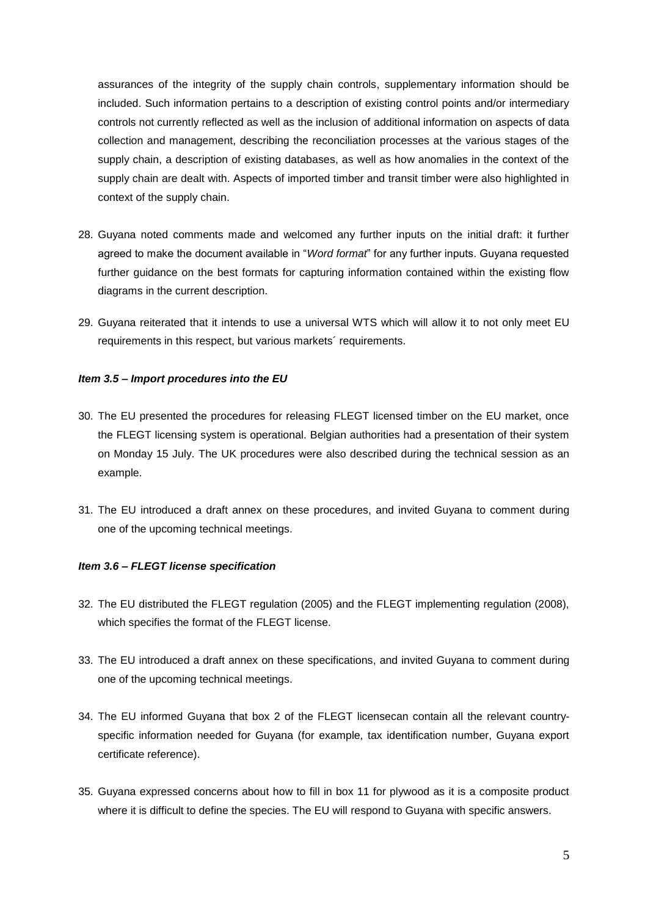assurances of the integrity of the supply chain controls, supplementary information should be included. Such information pertains to a description of existing control points and/or intermediary controls not currently reflected as well as the inclusion of additional information on aspects of data collection and management, describing the reconciliation processes at the various stages of the supply chain, a description of existing databases, as well as how anomalies in the context of the supply chain are dealt with. Aspects of imported timber and transit timber were also highlighted in context of the supply chain.

- 28. Guyana noted comments made and welcomed any further inputs on the initial draft: it further agreed to make the document available in "*Word format*" for any further inputs. Guyana requested further guidance on the best formats for capturing information contained within the existing flow diagrams in the current description.
- 29. Guyana reiterated that it intends to use a universal WTS which will allow it to not only meet EU requirements in this respect, but various markets´ requirements.

#### *Item 3.5 – Import procedures into the EU*

- 30. The EU presented the procedures for releasing FLEGT licensed timber on the EU market, once the FLEGT licensing system is operational. Belgian authorities had a presentation of their system on Monday 15 July. The UK procedures were also described during the technical session as an example.
- 31. The EU introduced a draft annex on these procedures, and invited Guyana to comment during one of the upcoming technical meetings.

#### *Item 3.6 – FLEGT license specification*

- 32. The EU distributed the FLEGT regulation (2005) and the FLEGT implementing regulation (2008), which specifies the format of the FLEGT license.
- 33. The EU introduced a draft annex on these specifications, and invited Guyana to comment during one of the upcoming technical meetings.
- 34. The EU informed Guyana that box 2 of the FLEGT licensecan contain all the relevant countryspecific information needed for Guyana (for example, tax identification number, Guyana export certificate reference).
- 35. Guyana expressed concerns about how to fill in box 11 for plywood as it is a composite product where it is difficult to define the species. The EU will respond to Guyana with specific answers.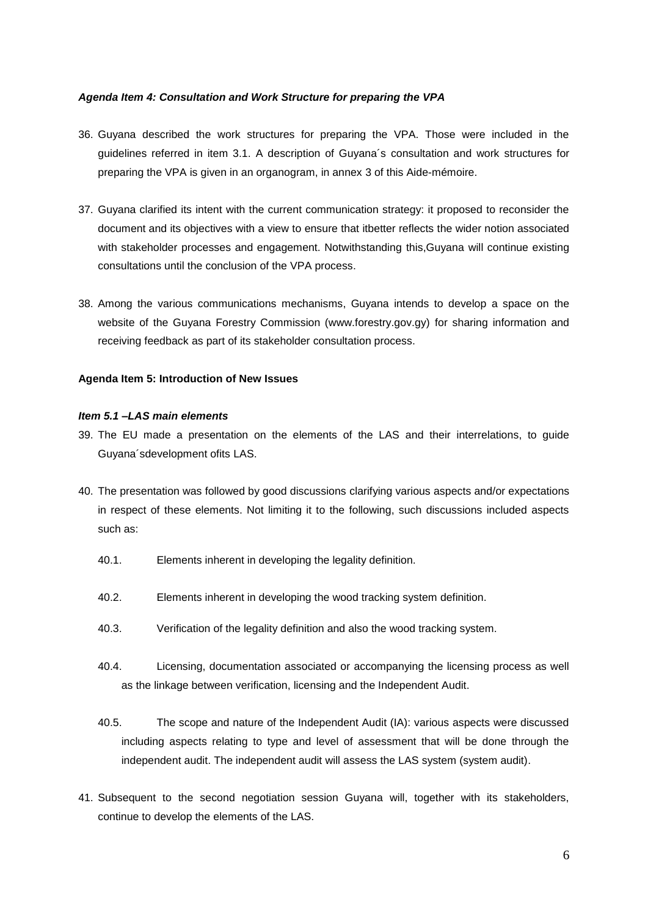#### *Agenda Item 4: Consultation and Work Structure for preparing the VPA*

- 36. Guyana described the work structures for preparing the VPA. Those were included in the guidelines referred in item 3.1. A description of Guyana´s consultation and work structures for preparing the VPA is given in an organogram, in annex 3 of this Aide-mémoire.
- 37. Guyana clarified its intent with the current communication strategy: it proposed to reconsider the document and its objectives with a view to ensure that itbetter reflects the wider notion associated with stakeholder processes and engagement. Notwithstanding this,Guyana will continue existing consultations until the conclusion of the VPA process.
- 38. Among the various communications mechanisms, Guyana intends to develop a space on the website of the Guyana Forestry Commission (www.forestry.gov.gy) for sharing information and receiving feedback as part of its stakeholder consultation process.

#### **Agenda Item 5: Introduction of New Issues**

#### *Item 5.1 –LAS main elements*

- 39. The EU made a presentation on the elements of the LAS and their interrelations, to guide Guyana´sdevelopment ofits LAS.
- 40. The presentation was followed by good discussions clarifying various aspects and/or expectations in respect of these elements. Not limiting it to the following, such discussions included aspects such as:
	- 40.1. Elements inherent in developing the legality definition.
	- 40.2. Elements inherent in developing the wood tracking system definition.
	- 40.3. Verification of the legality definition and also the wood tracking system.
	- 40.4. Licensing, documentation associated or accompanying the licensing process as well as the linkage between verification, licensing and the Independent Audit.
	- 40.5. The scope and nature of the Independent Audit (IA): various aspects were discussed including aspects relating to type and level of assessment that will be done through the independent audit. The independent audit will assess the LAS system (system audit).
- 41. Subsequent to the second negotiation session Guyana will, together with its stakeholders, continue to develop the elements of the LAS.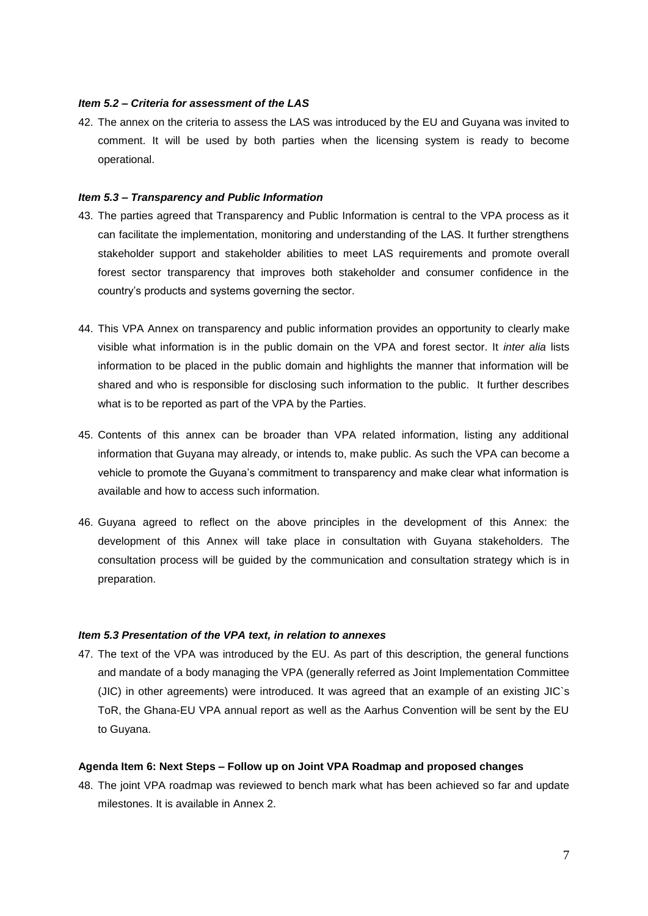#### *Item 5.2 – Criteria for assessment of the LAS*

42. The annex on the criteria to assess the LAS was introduced by the EU and Guyana was invited to comment. It will be used by both parties when the licensing system is ready to become operational.

#### *Item 5.3 – Transparency and Public Information*

- 43. The parties agreed that Transparency and Public Information is central to the VPA process as it can facilitate the implementation, monitoring and understanding of the LAS. It further strengthens stakeholder support and stakeholder abilities to meet LAS requirements and promote overall forest sector transparency that improves both stakeholder and consumer confidence in the country's products and systems governing the sector.
- 44. This VPA Annex on transparency and public information provides an opportunity to clearly make visible what information is in the public domain on the VPA and forest sector. It *inter alia* lists information to be placed in the public domain and highlights the manner that information will be shared and who is responsible for disclosing such information to the public. It further describes what is to be reported as part of the VPA by the Parties.
- 45. Contents of this annex can be broader than VPA related information, listing any additional information that Guyana may already, or intends to, make public. As such the VPA can become a vehicle to promote the Guyana's commitment to transparency and make clear what information is available and how to access such information.
- 46. Guyana agreed to reflect on the above principles in the development of this Annex: the development of this Annex will take place in consultation with Guyana stakeholders. The consultation process will be guided by the communication and consultation strategy which is in preparation.

#### *Item 5.3 Presentation of the VPA text, in relation to annexes*

47. The text of the VPA was introduced by the EU. As part of this description, the general functions and mandate of a body managing the VPA (generally referred as Joint Implementation Committee (JIC) in other agreements) were introduced. It was agreed that an example of an existing JIC`s ToR, the Ghana-EU VPA annual report as well as the Aarhus Convention will be sent by the EU to Guyana.

#### **Agenda Item 6: Next Steps – Follow up on Joint VPA Roadmap and proposed changes**

48. The joint VPA roadmap was reviewed to bench mark what has been achieved so far and update milestones. It is available in Annex 2.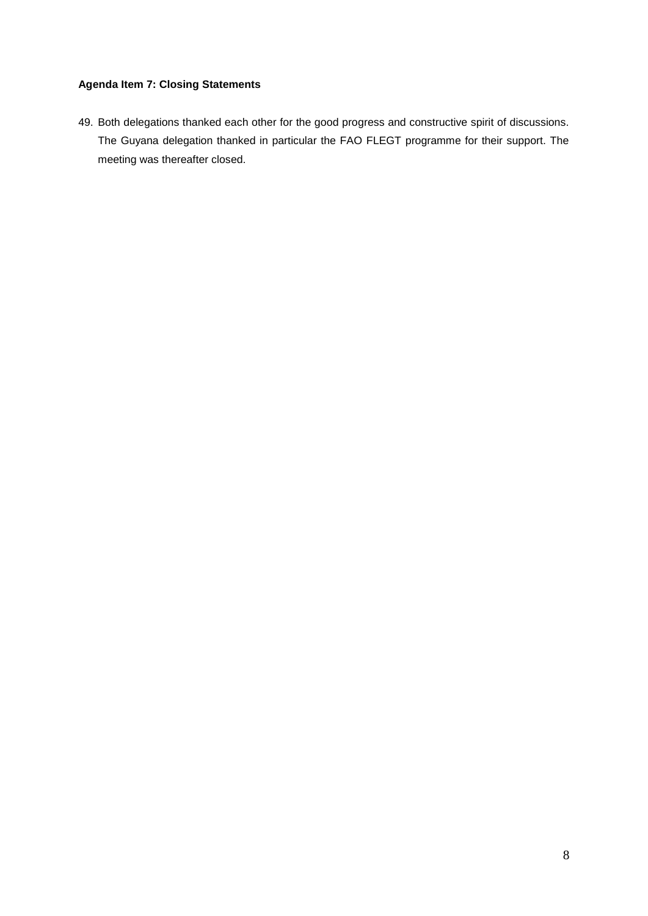## **Agenda Item 7: Closing Statements**

49. Both delegations thanked each other for the good progress and constructive spirit of discussions. The Guyana delegation thanked in particular the FAO FLEGT programme for their support. The meeting was thereafter closed.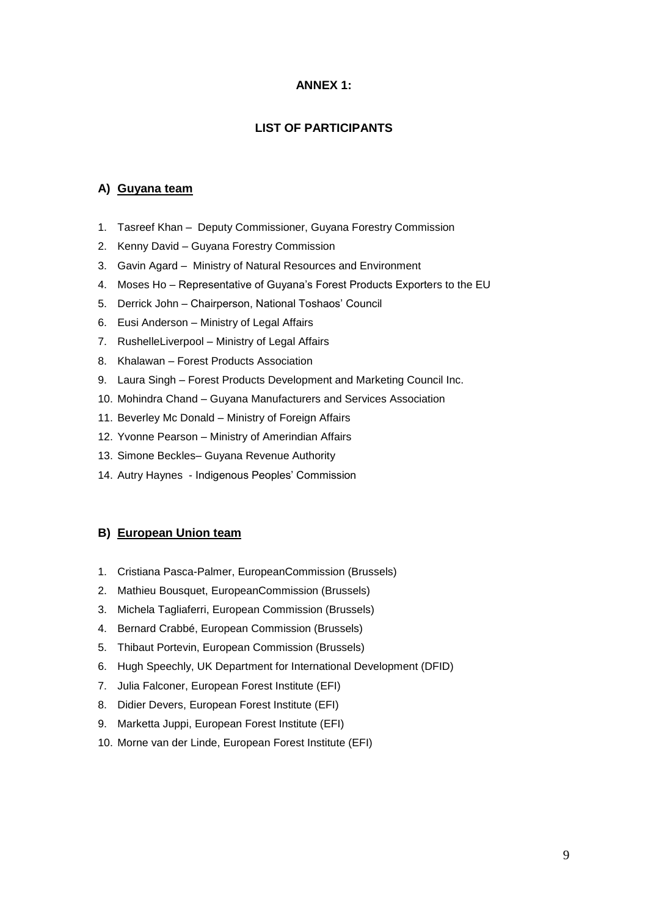#### **ANNEX 1:**

## **LIST OF PARTICIPANTS**

#### **A) Guyana team**

- 1. Tasreef Khan Deputy Commissioner, Guyana Forestry Commission
- 2. Kenny David Guyana Forestry Commission
- 3. Gavin Agard Ministry of Natural Resources and Environment
- 4. Moses Ho Representative of Guyana's Forest Products Exporters to the EU
- 5. Derrick John Chairperson, National Toshaos' Council
- 6. Eusi Anderson Ministry of Legal Affairs
- 7. RushelleLiverpool Ministry of Legal Affairs
- 8. Khalawan Forest Products Association
- 9. Laura Singh Forest Products Development and Marketing Council Inc.
- 10. Mohindra Chand Guyana Manufacturers and Services Association
- 11. Beverley Mc Donald Ministry of Foreign Affairs
- 12. Yvonne Pearson Ministry of Amerindian Affairs
- 13. Simone Beckles– Guyana Revenue Authority
- 14. Autry Haynes Indigenous Peoples' Commission

#### **B) European Union team**

- 1. Cristiana Pasca-Palmer, EuropeanCommission (Brussels)
- 2. Mathieu Bousquet, EuropeanCommission (Brussels)
- 3. Michela Tagliaferri, European Commission (Brussels)
- 4. Bernard Crabbé, European Commission (Brussels)
- 5. Thibaut Portevin, European Commission (Brussels)
- 6. Hugh Speechly, UK Department for International Development (DFID)
- 7. Julia Falconer, European Forest Institute (EFI)
- 8. Didier Devers, European Forest Institute (EFI)
- 9. Marketta Juppi, European Forest Institute (EFI)
- 10. Morne van der Linde, European Forest Institute (EFI)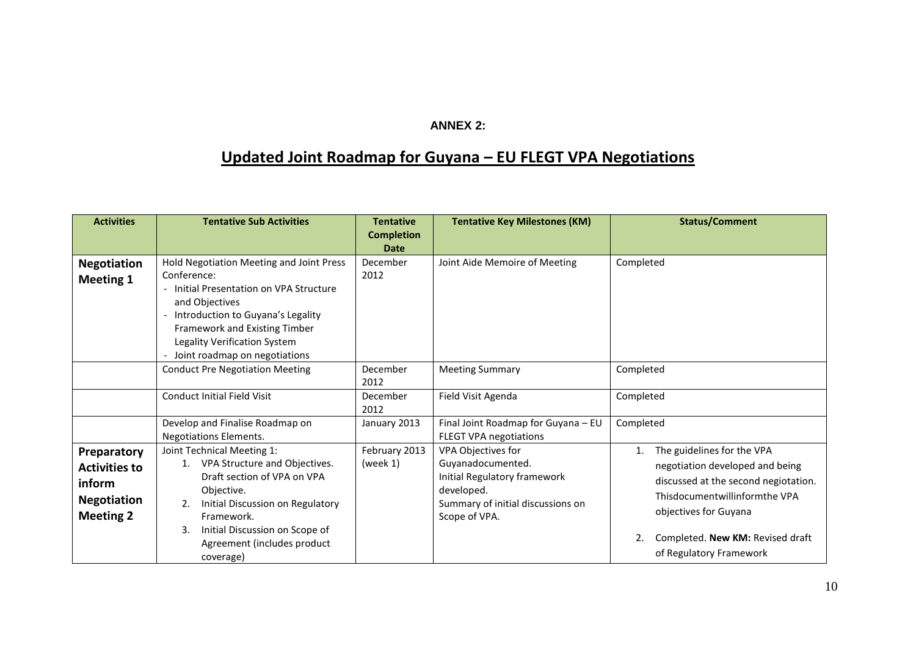# **ANNEX 2:**

# **Updated Joint Roadmap for Guyana – EU FLEGT VPA Negotiations**

| <b>Activities</b>                                                                       | <b>Tentative Sub Activities</b>                                                                                                                                                                                                                           | <b>Tentative</b><br><b>Completion</b><br><b>Date</b> | <b>Tentative Key Milestones (KM)</b>                                                                                                        | <b>Status/Comment</b>                                                                                                                                                 |  |
|-----------------------------------------------------------------------------------------|-----------------------------------------------------------------------------------------------------------------------------------------------------------------------------------------------------------------------------------------------------------|------------------------------------------------------|---------------------------------------------------------------------------------------------------------------------------------------------|-----------------------------------------------------------------------------------------------------------------------------------------------------------------------|--|
| <b>Negotiation</b><br><b>Meeting 1</b>                                                  | Hold Negotiation Meeting and Joint Press<br>Conference:<br>Initial Presentation on VPA Structure<br>and Objectives<br>Introduction to Guyana's Legality<br>Framework and Existing Timber<br>Legality Verification System<br>Joint roadmap on negotiations | December<br>2012                                     | Joint Aide Memoire of Meeting                                                                                                               | Completed                                                                                                                                                             |  |
|                                                                                         | <b>Conduct Pre Negotiation Meeting</b><br><b>Conduct Initial Field Visit</b>                                                                                                                                                                              | December<br>2012<br>December<br>2012                 | <b>Meeting Summary</b><br>Field Visit Agenda                                                                                                | Completed<br>Completed                                                                                                                                                |  |
|                                                                                         | Develop and Finalise Roadmap on<br><b>Negotiations Elements.</b>                                                                                                                                                                                          | January 2013                                         | Final Joint Roadmap for Guyana - EU<br><b>FLEGT VPA negotiations</b>                                                                        | Completed                                                                                                                                                             |  |
| Preparatory<br><b>Activities to</b><br>inform<br><b>Negotiation</b><br><b>Meeting 2</b> | Joint Technical Meeting 1:<br>VPA Structure and Objectives.<br>1.<br>Draft section of VPA on VPA<br>Objective.<br>Initial Discussion on Regulatory<br>2.<br>Framework.<br>Initial Discussion on Scope of<br>3.                                            | February 2013<br>(week 1)                            | VPA Objectives for<br>Guyanadocumented.<br>Initial Regulatory framework<br>developed.<br>Summary of initial discussions on<br>Scope of VPA. | The guidelines for the VPA<br>1.<br>negotiation developed and being<br>discussed at the second negiotation.<br>Thisdocumentwillinformthe VPA<br>objectives for Guyana |  |
|                                                                                         | Agreement (includes product<br>coverage)                                                                                                                                                                                                                  |                                                      |                                                                                                                                             | Completed. New KM: Revised draft<br>of Regulatory Framework                                                                                                           |  |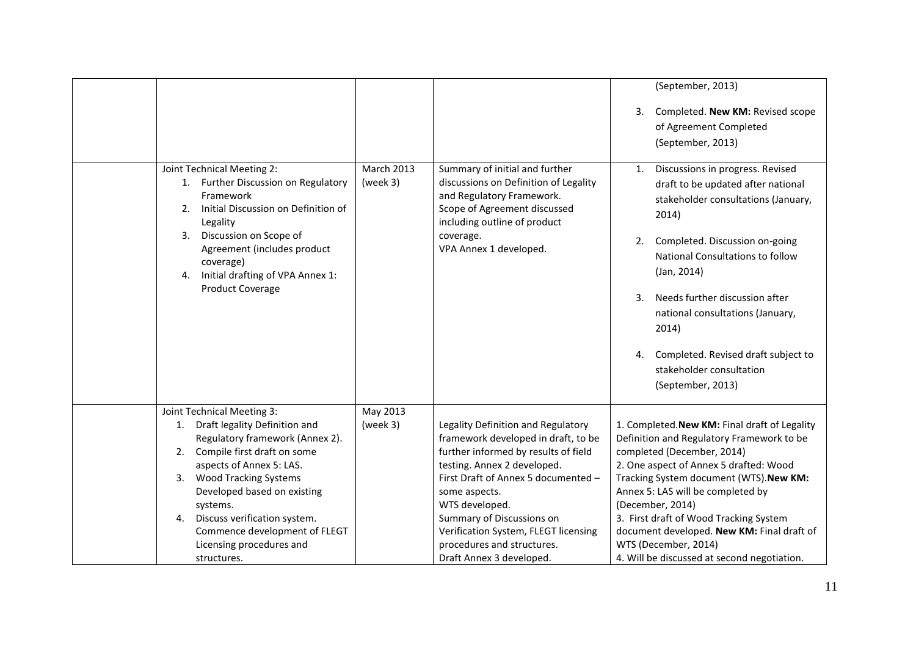|                                                                                                                                                                                                                                                                                                                                                                    |                      |                                                                                                                                                                                                                                                                                                                                                           | (September, 2013)                                                                                                                                                                                                                                                                                                                                                                                                                     |
|--------------------------------------------------------------------------------------------------------------------------------------------------------------------------------------------------------------------------------------------------------------------------------------------------------------------------------------------------------------------|----------------------|-----------------------------------------------------------------------------------------------------------------------------------------------------------------------------------------------------------------------------------------------------------------------------------------------------------------------------------------------------------|---------------------------------------------------------------------------------------------------------------------------------------------------------------------------------------------------------------------------------------------------------------------------------------------------------------------------------------------------------------------------------------------------------------------------------------|
|                                                                                                                                                                                                                                                                                                                                                                    | March 2013           |                                                                                                                                                                                                                                                                                                                                                           | Completed. New KM: Revised scope<br>3.<br>of Agreement Completed<br>(September, 2013)                                                                                                                                                                                                                                                                                                                                                 |
| Joint Technical Meeting 2:<br>Further Discussion on Regulatory<br>1.<br>Framework<br>Initial Discussion on Definition of<br>2.<br>Legality<br>Discussion on Scope of<br>3.<br>Agreement (includes product<br>coverage)<br>Initial drafting of VPA Annex 1:<br>4.<br>Product Coverage                                                                               | (week 3)             | Summary of initial and further<br>discussions on Definition of Legality<br>and Regulatory Framework.<br>Scope of Agreement discussed<br>including outline of product<br>coverage.<br>VPA Annex 1 developed.                                                                                                                                               | Discussions in progress. Revised<br>1.<br>draft to be updated after national<br>stakeholder consultations (January,<br>2014)<br>Completed. Discussion on-going<br>2.<br>National Consultations to follow<br>(Jan, 2014)<br>Needs further discussion after<br>3.<br>national consultations (January,<br>2014)<br>Completed. Revised draft subject to<br>4.<br>stakeholder consultation<br>(September, 2013)                            |
| Joint Technical Meeting 3:<br>1. Draft legality Definition and<br>Regulatory framework (Annex 2).<br>Compile first draft on some<br>2.<br>aspects of Annex 5: LAS.<br><b>Wood Tracking Systems</b><br>3.<br>Developed based on existing<br>systems.<br>4. Discuss verification system.<br>Commence development of FLEGT<br>Licensing procedures and<br>structures. | May 2013<br>(week 3) | Legality Definition and Regulatory<br>framework developed in draft, to be<br>further informed by results of field<br>testing. Annex 2 developed.<br>First Draft of Annex 5 documented -<br>some aspects.<br>WTS developed.<br>Summary of Discussions on<br>Verification System, FLEGT licensing<br>procedures and structures.<br>Draft Annex 3 developed. | 1. Completed. New KM: Final draft of Legality<br>Definition and Regulatory Framework to be<br>completed (December, 2014)<br>2. One aspect of Annex 5 drafted: Wood<br>Tracking System document (WTS). New KM:<br>Annex 5: LAS will be completed by<br>(December, 2014)<br>3. First draft of Wood Tracking System<br>document developed. New KM: Final draft of<br>WTS (December, 2014)<br>4. Will be discussed at second negotiation. |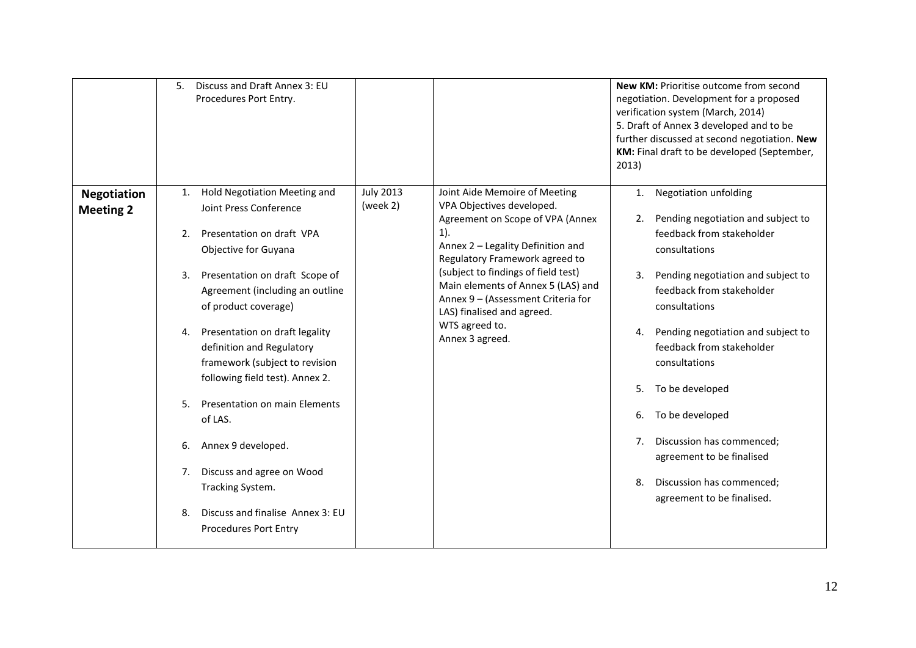|                                        | Discuss and Draft Annex 3: EU<br>5.<br>Procedures Port Entry.                                                                                                                                                                                                                                                                                                                                                                                                                                             |                              |                                                                                                                                                                                                                                                                                                                                                                       | New KM: Prioritise outcome from second<br>negotiation. Development for a proposed<br>verification system (March, 2014)<br>5. Draft of Annex 3 developed and to be<br>further discussed at second negotiation. New<br>KM: Final draft to be developed (September,<br>2013)                                                                                                                                                                                                                           |
|----------------------------------------|-----------------------------------------------------------------------------------------------------------------------------------------------------------------------------------------------------------------------------------------------------------------------------------------------------------------------------------------------------------------------------------------------------------------------------------------------------------------------------------------------------------|------------------------------|-----------------------------------------------------------------------------------------------------------------------------------------------------------------------------------------------------------------------------------------------------------------------------------------------------------------------------------------------------------------------|-----------------------------------------------------------------------------------------------------------------------------------------------------------------------------------------------------------------------------------------------------------------------------------------------------------------------------------------------------------------------------------------------------------------------------------------------------------------------------------------------------|
| <b>Negotiation</b><br><b>Meeting 2</b> | Hold Negotiation Meeting and<br>1.<br>Joint Press Conference<br>Presentation on draft VPA<br>2.<br>Objective for Guyana<br>Presentation on draft Scope of<br>3.<br>Agreement (including an outline<br>of product coverage)<br>Presentation on draft legality<br>4.<br>definition and Regulatory<br>framework (subject to revision<br>following field test). Annex 2.<br>Presentation on main Elements<br>5.<br>of LAS.<br>Annex 9 developed.<br>6.<br>Discuss and agree on Wood<br>7.<br>Tracking System. | <b>July 2013</b><br>(week 2) | Joint Aide Memoire of Meeting<br>VPA Objectives developed.<br>Agreement on Scope of VPA (Annex<br>$1$ ).<br>Annex 2 - Legality Definition and<br>Regulatory Framework agreed to<br>(subject to findings of field test)<br>Main elements of Annex 5 (LAS) and<br>Annex 9 - (Assessment Criteria for<br>LAS) finalised and agreed.<br>WTS agreed to.<br>Annex 3 agreed. | <b>Negotiation unfolding</b><br>1.<br>Pending negotiation and subject to<br>2.<br>feedback from stakeholder<br>consultations<br>Pending negotiation and subject to<br>3.<br>feedback from stakeholder<br>consultations<br>Pending negotiation and subject to<br>4.<br>feedback from stakeholder<br>consultations<br>To be developed<br>5.<br>To be developed<br>6.<br>Discussion has commenced;<br>7.<br>agreement to be finalised<br>Discussion has commenced;<br>8.<br>agreement to be finalised. |
|                                        | Discuss and finalise Annex 3: EU<br>8.<br><b>Procedures Port Entry</b>                                                                                                                                                                                                                                                                                                                                                                                                                                    |                              |                                                                                                                                                                                                                                                                                                                                                                       |                                                                                                                                                                                                                                                                                                                                                                                                                                                                                                     |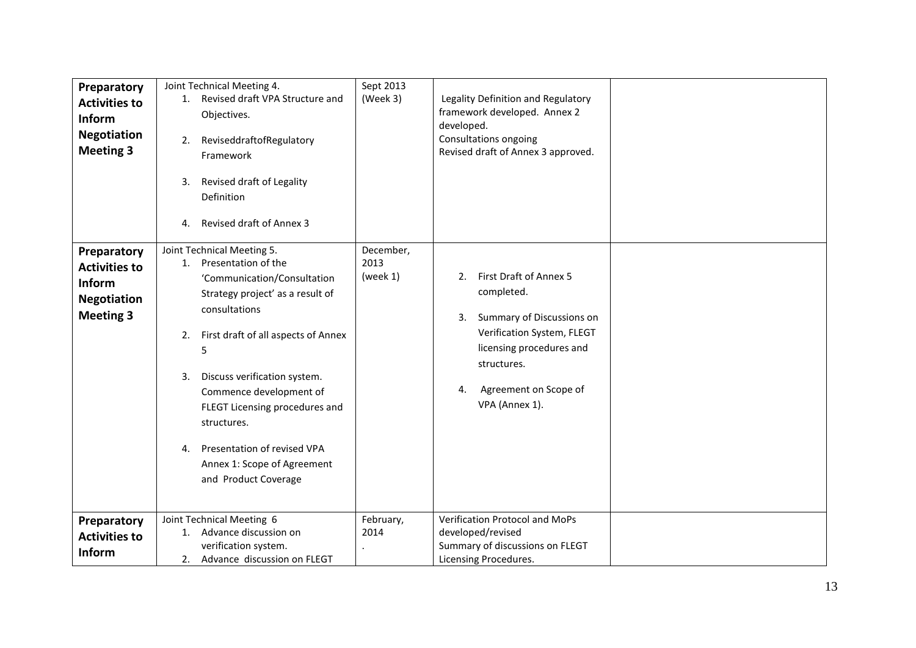| Preparatory<br><b>Activities to</b><br>Inform<br><b>Negotiation</b><br><b>Meeting 3</b> | Joint Technical Meeting 4.<br>1. Revised draft VPA Structure and<br>Objectives.<br>ReviseddraftofRegulatory<br>2.<br>Framework<br>3. Revised draft of Legality<br>Definition<br><b>Revised draft of Annex 3</b><br>4.                                                                                                                                                                                       | Sept 2013<br>(Week 3)         | Legality Definition and Regulatory<br>framework developed. Annex 2<br>developed.<br>Consultations ongoing<br>Revised draft of Annex 3 approved.                                                         |  |
|-----------------------------------------------------------------------------------------|-------------------------------------------------------------------------------------------------------------------------------------------------------------------------------------------------------------------------------------------------------------------------------------------------------------------------------------------------------------------------------------------------------------|-------------------------------|---------------------------------------------------------------------------------------------------------------------------------------------------------------------------------------------------------|--|
| Preparatory<br><b>Activities to</b><br>Inform<br><b>Negotiation</b><br><b>Meeting 3</b> | Joint Technical Meeting 5.<br>Presentation of the<br>1.<br>'Communication/Consultation<br>Strategy project' as a result of<br>consultations<br>First draft of all aspects of Annex<br>2.<br>5<br>Discuss verification system.<br>3.<br>Commence development of<br>FLEGT Licensing procedures and<br>structures.<br>Presentation of revised VPA<br>4.<br>Annex 1: Scope of Agreement<br>and Product Coverage | December,<br>2013<br>(week 1) | First Draft of Annex 5<br>2.<br>completed.<br>Summary of Discussions on<br>3.<br>Verification System, FLEGT<br>licensing procedures and<br>structures.<br>Agreement on Scope of<br>4.<br>VPA (Annex 1). |  |
| Preparatory<br><b>Activities to</b><br><b>Inform</b>                                    | Joint Technical Meeting 6<br>1. Advance discussion on<br>verification system.<br>2. Advance discussion on FLEGT                                                                                                                                                                                                                                                                                             | February,<br>2014             | Verification Protocol and MoPs<br>developed/revised<br>Summary of discussions on FLEGT<br>Licensing Procedures.                                                                                         |  |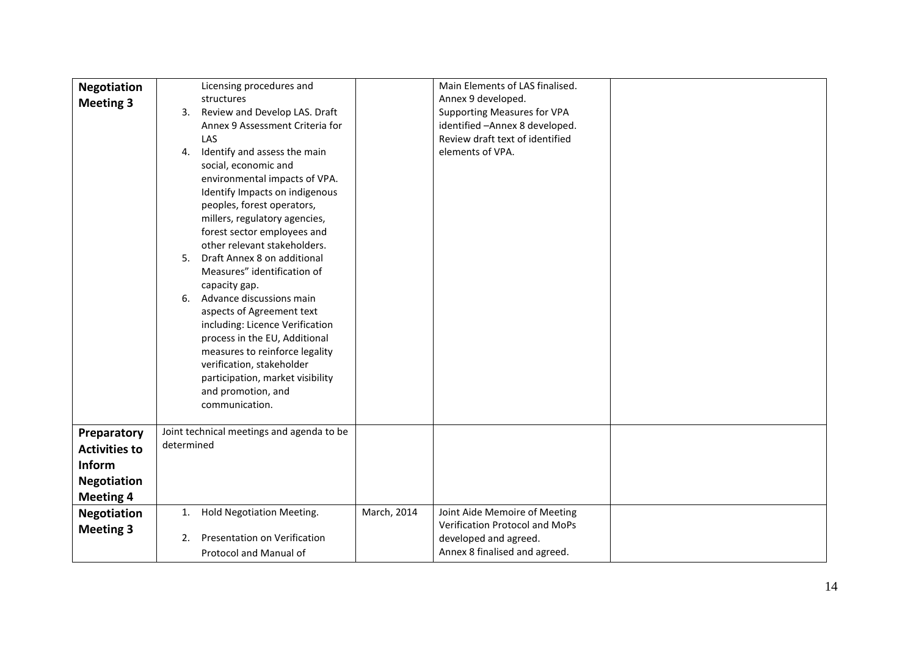| <b>Negotiation</b><br><b>Meeting 3</b>                                                                                            | Licensing procedures and<br>structures<br>Review and Develop LAS. Draft<br>3.<br>Annex 9 Assessment Criteria for<br>LAS<br>Identify and assess the main<br>4.<br>social, economic and<br>environmental impacts of VPA.<br>Identify Impacts on indigenous<br>peoples, forest operators,<br>millers, regulatory agencies,<br>forest sector employees and<br>other relevant stakeholders.<br>Draft Annex 8 on additional<br>5.<br>Measures" identification of<br>capacity gap.<br>Advance discussions main<br>6.<br>aspects of Agreement text<br>including: Licence Verification<br>process in the EU, Additional<br>measures to reinforce legality<br>verification, stakeholder<br>participation, market visibility<br>and promotion, and<br>communication. |             | Main Elements of LAS finalised.<br>Annex 9 developed.<br><b>Supporting Measures for VPA</b><br>identified - Annex 8 developed.<br>Review draft text of identified<br>elements of VPA. |  |
|-----------------------------------------------------------------------------------------------------------------------------------|-----------------------------------------------------------------------------------------------------------------------------------------------------------------------------------------------------------------------------------------------------------------------------------------------------------------------------------------------------------------------------------------------------------------------------------------------------------------------------------------------------------------------------------------------------------------------------------------------------------------------------------------------------------------------------------------------------------------------------------------------------------|-------------|---------------------------------------------------------------------------------------------------------------------------------------------------------------------------------------|--|
| Preparatory<br><b>Activities to</b><br>Inform<br><b>Negotiation</b><br><b>Meeting 4</b><br><b>Negotiation</b><br><b>Meeting 3</b> | Joint technical meetings and agenda to be<br>determined<br><b>Hold Negotiation Meeting.</b><br>1.<br>Presentation on Verification<br>2.<br>Protocol and Manual of                                                                                                                                                                                                                                                                                                                                                                                                                                                                                                                                                                                         | March, 2014 | Joint Aide Memoire of Meeting<br>Verification Protocol and MoPs<br>developed and agreed.<br>Annex 8 finalised and agreed.                                                             |  |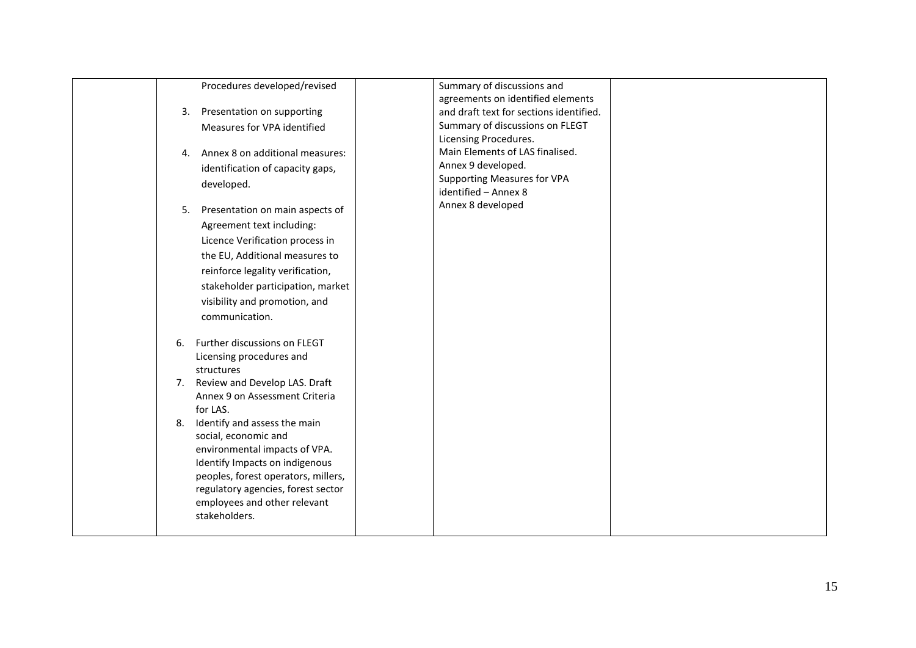| 4.<br>5. | Procedures developed/revised<br>3. Presentation on supporting<br>Measures for VPA identified<br>Annex 8 on additional measures:<br>identification of capacity gaps,<br>developed.<br>Presentation on main aspects of<br>Agreement text including:<br>Licence Verification process in<br>the EU, Additional measures to<br>reinforce legality verification,<br>stakeholder participation, market<br>visibility and promotion, and<br>communication. | Summary of discussions and<br>agreements on identified elements<br>and draft text for sections identified.<br>Summary of discussions on FLEGT<br>Licensing Procedures.<br>Main Elements of LAS finalised.<br>Annex 9 developed.<br><b>Supporting Measures for VPA</b><br>identified - Annex 8<br>Annex 8 developed |  |
|----------|----------------------------------------------------------------------------------------------------------------------------------------------------------------------------------------------------------------------------------------------------------------------------------------------------------------------------------------------------------------------------------------------------------------------------------------------------|--------------------------------------------------------------------------------------------------------------------------------------------------------------------------------------------------------------------------------------------------------------------------------------------------------------------|--|
| 6.       | Further discussions on FLEGT<br>Licensing procedures and<br>structures<br>7. Review and Develop LAS. Draft                                                                                                                                                                                                                                                                                                                                         |                                                                                                                                                                                                                                                                                                                    |  |
| 8.       | Annex 9 on Assessment Criteria<br>for LAS.<br>Identify and assess the main<br>social, economic and                                                                                                                                                                                                                                                                                                                                                 |                                                                                                                                                                                                                                                                                                                    |  |
|          | environmental impacts of VPA.<br>Identify Impacts on indigenous<br>peoples, forest operators, millers,<br>regulatory agencies, forest sector<br>employees and other relevant<br>stakeholders.                                                                                                                                                                                                                                                      |                                                                                                                                                                                                                                                                                                                    |  |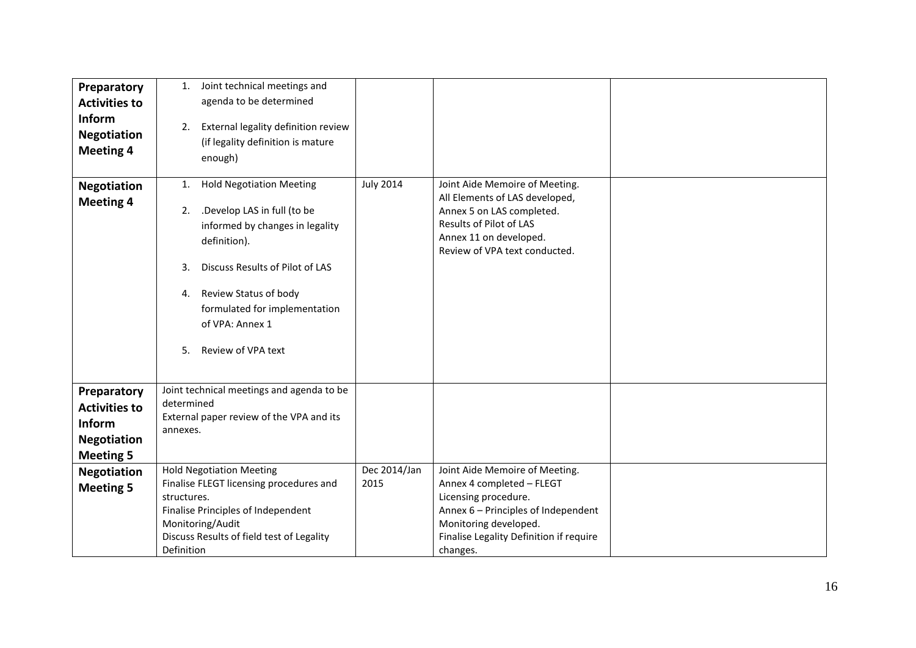| Preparatory                                                                             | Joint technical meetings and<br>1.                                                                                                                                                                                                           |                      |                                                                                                                                                                                                            |  |
|-----------------------------------------------------------------------------------------|----------------------------------------------------------------------------------------------------------------------------------------------------------------------------------------------------------------------------------------------|----------------------|------------------------------------------------------------------------------------------------------------------------------------------------------------------------------------------------------------|--|
| <b>Activities to</b>                                                                    | agenda to be determined                                                                                                                                                                                                                      |                      |                                                                                                                                                                                                            |  |
| Inform<br><b>Negotiation</b><br><b>Meeting 4</b>                                        | External legality definition review<br>2.<br>(if legality definition is mature<br>enough)                                                                                                                                                    |                      |                                                                                                                                                                                                            |  |
| <b>Negotiation</b>                                                                      | <b>Hold Negotiation Meeting</b><br>1.                                                                                                                                                                                                        | <b>July 2014</b>     | Joint Aide Memoire of Meeting.                                                                                                                                                                             |  |
| <b>Meeting 4</b>                                                                        | .Develop LAS in full (to be<br>2.<br>informed by changes in legality<br>definition).<br>Discuss Results of Pilot of LAS<br>3.<br>Review Status of body<br>4.<br>formulated for implementation<br>of VPA: Annex 1<br>Review of VPA text<br>5. |                      | All Elements of LAS developed,<br>Annex 5 on LAS completed.<br>Results of Pilot of LAS<br>Annex 11 on developed.<br>Review of VPA text conducted.                                                          |  |
| Preparatory<br><b>Activities to</b><br>Inform<br><b>Negotiation</b><br><b>Meeting 5</b> | Joint technical meetings and agenda to be<br>determined<br>External paper review of the VPA and its<br>annexes.                                                                                                                              |                      |                                                                                                                                                                                                            |  |
| <b>Negotiation</b><br><b>Meeting 5</b>                                                  | <b>Hold Negotiation Meeting</b><br>Finalise FLEGT licensing procedures and<br>structures.<br>Finalise Principles of Independent<br>Monitoring/Audit<br>Discuss Results of field test of Legality<br>Definition                               | Dec 2014/Jan<br>2015 | Joint Aide Memoire of Meeting.<br>Annex 4 completed - FLEGT<br>Licensing procedure.<br>Annex 6 - Principles of Independent<br>Monitoring developed.<br>Finalise Legality Definition if require<br>changes. |  |